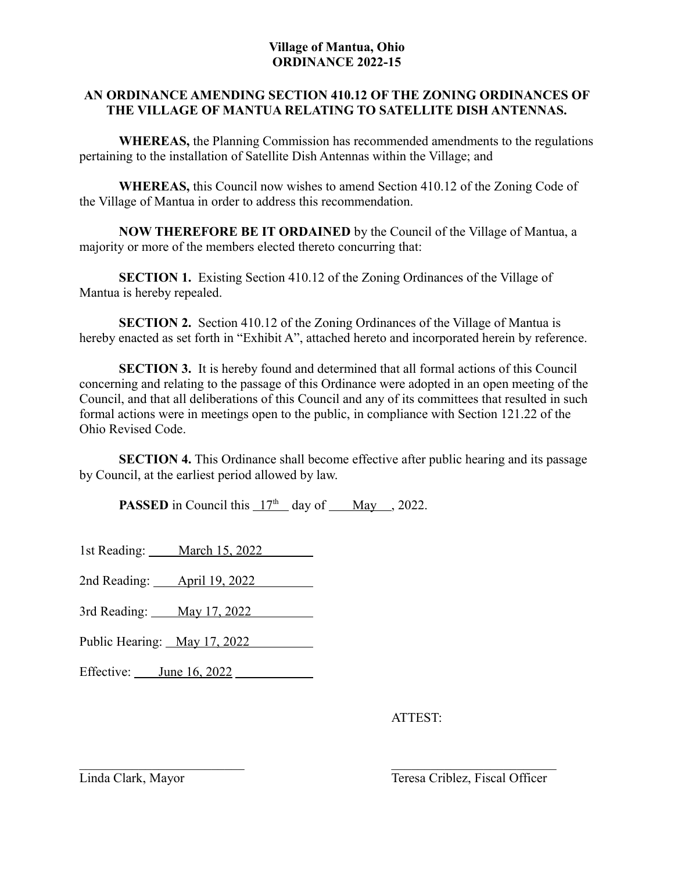### **AN ORDINANCE AMENDING SECTION 410.12 OF THE ZONING ORDINANCES OF THE VILLAGE OF MANTUA RELATING TO SATELLITE DISH ANTENNAS.**

**WHEREAS,** the Planning Commission has recommended amendments to the regulations pertaining to the installation of Satellite Dish Antennas within the Village; and

**WHEREAS,** this Council now wishes to amend Section 410.12 of the Zoning Code of the Village of Mantua in order to address this recommendation.

**NOW THEREFORE BE IT ORDAINED** by the Council of the Village of Mantua, a majority or more of the members elected thereto concurring that:

**SECTION 1.** Existing Section 410.12 of the Zoning Ordinances of the Village of Mantua is hereby repealed.

**SECTION 2.** Section 410.12 of the Zoning Ordinances of the Village of Mantua is hereby enacted as set forth in "Exhibit A", attached hereto and incorporated herein by reference.

**SECTION 3.** It is hereby found and determined that all formal actions of this Council concerning and relating to the passage of this Ordinance were adopted in an open meeting of the Council, and that all deliberations of this Council and any of its committees that resulted in such formal actions were in meetings open to the public, in compliance with Section 121.22 of the Ohio Revised Code.

**SECTION 4.** This Ordinance shall become effective after public hearing and its passage by Council, at the earliest period allowed by law.

 $\mathcal{L}_\text{max}$  , and the contract of the contract of the contract of the contract of the contract of the contract of

**PASSED** in Council this  $17<sup>th</sup>$  day of May , 2022.

1st Reading: March 15, 2022

2nd Reading: April 19, 2022

3rd Reading: May 17, 2022

Public Hearing: May 17, 2022

Effective: June 16, 2022

ATTEST:

Linda Clark, Mayor Teresa Criblez, Fiscal Officer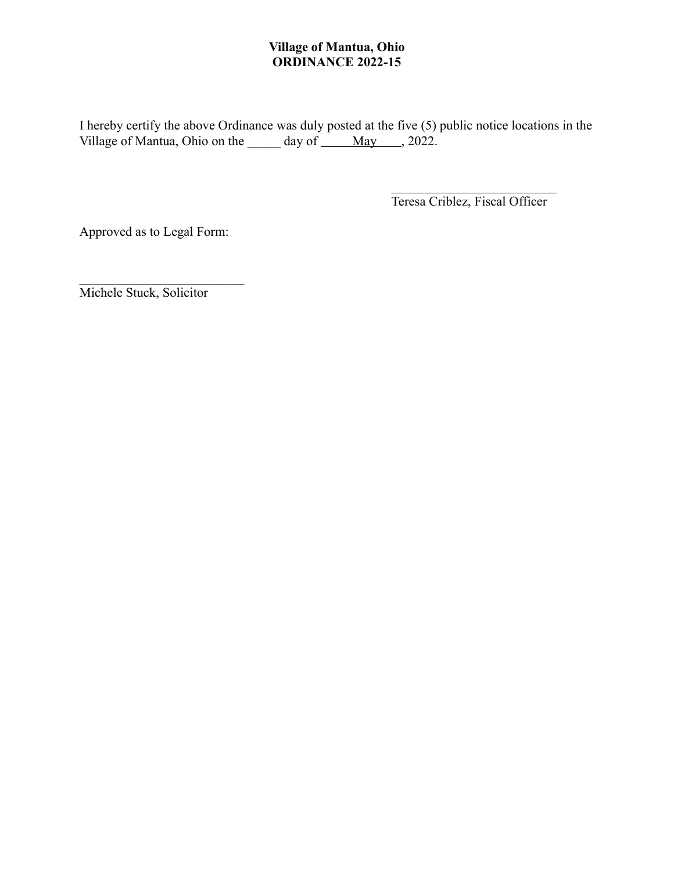I hereby certify the above Ordinance was duly posted at the five (5) public notice locations in the Village of Mantua, Ohio on the  $\qquad \qquad$  day of  $\qquad \qquad$  May  $\qquad$ , 2022.

Teresa Criblez, Fiscal Officer

Approved as to Legal Form:

Michele Stuck, Solicitor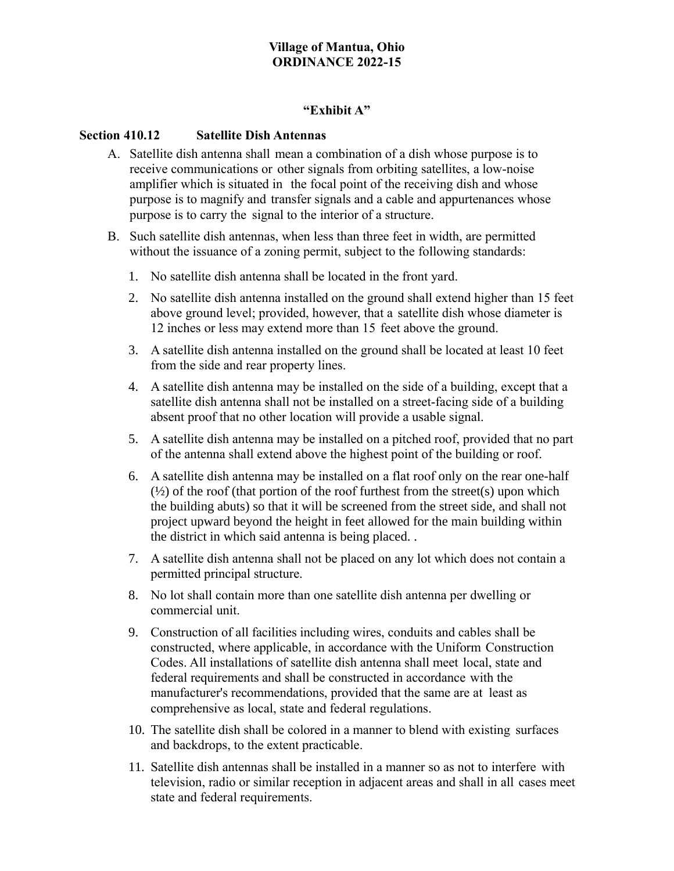#### **"Exhibit A"**

#### **Section 410.12 Satellite Dish Antennas**

- A. Satellite dish antenna shall mean a combination of a dish whose purpose is to receive communications or other signals from orbiting satellites, a low-noise amplifier which is situated in the focal point of the receiving dish and whose purpose is to magnify and transfer signals and a cable and appurtenances whose purpose is to carry the signal to the interior of a structure.
- B. Such satellite dish antennas, when less than three feet in width, are permitted without the issuance of a zoning permit, subject to the following standards:
	- 1. No satellite dish antenna shall be located in the front yard.
	- 2. No satellite dish antenna installed on the ground shall extend higher than 15 feet above ground level; provided, however, that a satellite dish whose diameter is 12 inches or less may extend more than 15 feet above the ground.
	- 3. A satellite dish antenna installed on the ground shall be located at least 10 feet from the side and rear property lines.
	- 4. A satellite dish antenna may be installed on the side of a building, except that a satellite dish antenna shall not be installed on a street-facing side of a building absent proof that no other location will provide a usable signal.
	- 5. A satellite dish antenna may be installed on a pitched roof, provided that no part of the antenna shall extend above the highest point of the building or roof.
	- 6. A satellite dish antenna may be installed on a flat roof only on the rear one-half  $(\frac{1}{2})$  of the roof (that portion of the roof furthest from the street(s) upon which the building abuts) so that it will be screened from the street side, and shall not project upward beyond the height in feet allowed for the main building within the district in which said antenna is being placed. .
	- 7. A satellite dish antenna shall not be placed on any lot which does not contain a permitted principal structure.
	- 8. No lot shall contain more than one satellite dish antenna per dwelling or commercial unit.
	- 9. Construction of all facilities including wires, conduits and cables shall be constructed, where applicable, in accordance with the Uniform Construction Codes. All installations of satellite dish antenna shall meet local, state and federal requirements and shall be constructed in accordance with the manufacturer's recommendations, provided that the same are at least as comprehensive as local, state and federal regulations.
	- 10. The satellite dish shall be colored in a manner to blend with existing surfaces and backdrops, to the extent practicable.
	- 11. Satellite dish antennas shall be installed in a manner so as not to interfere with television, radio or similar reception in adjacent areas and shall in all cases meet state and federal requirements.